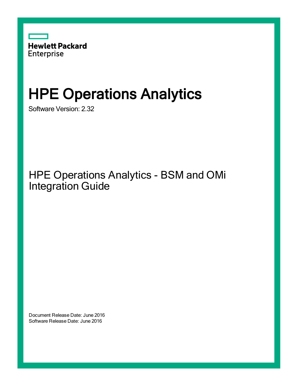

# HPE Operations Analytics

Software Version: 2.32

HPE Operations Analytics - BSM and OMi Integration Guide

Document Release Date: June 2016 Software Release Date: June 2016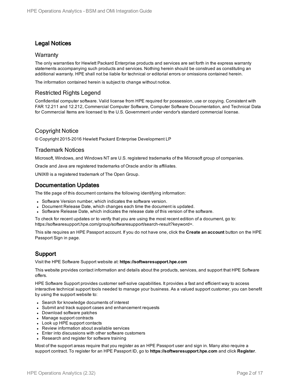### Legal Notices

#### **Warranty**

The only warranties for Hewlett Packard Enterprise products and services are set forth in the express warranty statements accompanying such products and services. Nothing herein should be construed as constituting an additional warranty. HPE shall not be liable for technical or editorial errors or omissions contained herein.

The information contained herein is subject to change without notice.

#### Restricted Rights Legend

Confidential computer software. Valid license from HPE required for possession, use or copying. Consistent with FAR 12.211 and 12.212, Commercial Computer Software, Computer Software Documentation, and Technical Data for Commercial Items are licensed to the U.S. Government under vendor's standard commercial license.

### Copyright Notice

© Copyright 2015-2016 Hewlett Packard Enterprise Development LP

#### Trademark Notices

Microsoft, Windows, and Windows NT are U.S. registered trademarks of the Microsoft group of companies.

Oracle and Java are registered trademarks of Oracle and/or its affiliates.

UNIX® is a registered trademark of The Open Group.

#### Documentation Updates

The title page of this document contains the following identifying information:

- Software Version number, which indicates the software version.
- Document Release Date, which changes each time the document is updated.
- <sup>l</sup> Software Release Date, which indicates the release date of this version of the software.

To check for recent updates or to verify that you are using the most recent edition of a document, go to: https://softwaresupport.hpe.com/group/softwaresupport/search-result?keyword=.

This site requires an HPE Passport account. If you do not have one, click the **Create an account** button on the HPE Passport Sign in page.

### Support

Visit the HPE Software Support website at: **https://softwaresupport.hpe.com**

This website provides contact information and details about the products, services, and support that HPE Software offers.

HPE Software Support provides customer self-solve capabilities. It provides a fast and efficient way to access interactive technical support tools needed to manage your business. As a valued support customer, you can benefit by using the support website to:

- Search for knowledge documents of interest
- Submit and track support cases and enhancement requests
- Download software patches
- Manage support contracts
- Look up HPE support contacts
- Review information about available services
- Enter into discussions with other software customers
- Research and register for software training

Most of the support areas require that you register as an HPE Passport user and sign in. Many also require a support contract. To register for an HPE Passport ID, go to **https://softwaresupport.hpe.com** and click **Register**.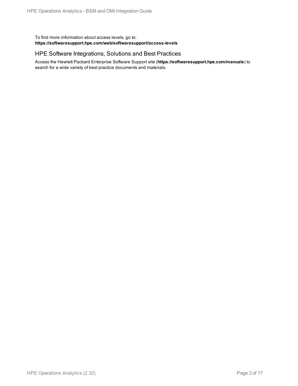To find more information about access levels, go to: **https://softwaresupport.hpe.com/web/softwaresupport/access-levels**

#### HPE Software Integrations, Solutions and Best Practices

Access the Hewlett Packard Enterprise Software Support site (**https://softwaresupport.hpe.com/manuals**) to search for a wide variety of best practice documents and materials.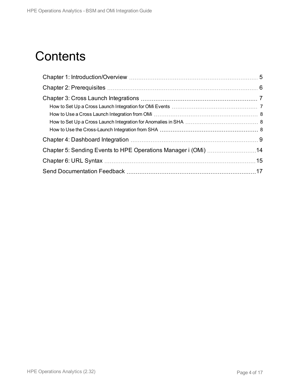## **Contents**

| Chapter 5: Sending Events to HPE Operations Manager i (OMi) 14 |  |
|----------------------------------------------------------------|--|
|                                                                |  |
|                                                                |  |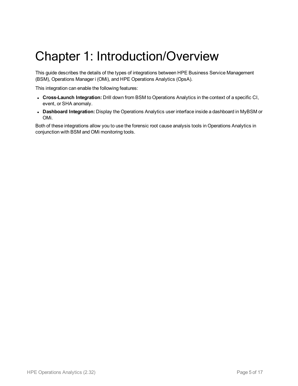## <span id="page-4-0"></span>Chapter 1: Introduction/Overview

This guide describes the details of the types of integrations between HPE Business Service Management (BSM), Operations Manager i (OMi), and HPE Operations Analytics (OpsA).

This integration can enable the following features:

- <sup>l</sup> **Cross-Launch Integration:** Drill down from BSM to Operations Analytics in the context of a specific CI, event, or SHA anomaly.
- <sup>l</sup> **Dashboard Integration:** Display the Operations Analytics user interface inside a dashboard in MyBSM or OMi.

Both of these integrations allow you to use the forensic root cause analysis tools in Operations Analytics in conjunction with BSM and OMi monitoring tools.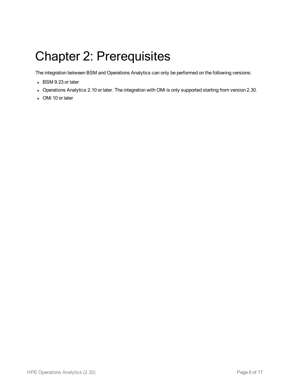## <span id="page-5-0"></span>Chapter 2: Prerequisites

The integration between BSM and Operations Analytics can only be performed on the following versions:

- $\bullet$  BSM 9.23 or later
- Operations Analytics 2.10 or later. The integration with OMi is only supported starting from version 2.30.
- OMi 10 or later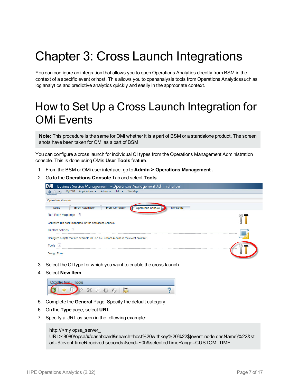## <span id="page-6-0"></span>Chapter 3: Cross Launch Integrations

You can configure an integration that allows you to open Operations Analytics directly from BSM in the context of a specific event or host. This allows you to openanalysis tools from Operations Analyticssuch as log analytics and predictive analytics quickly and easily in the appropriate context.

### <span id="page-6-1"></span>How to Set Up a Cross Launch Integration for OMi Events

**Note:** This procedure is the same for OMi whether it is a part of BSM or a standalone product. The screen shots have been taken for OMi as a part of BSM.

You can configure a cross launch for individual CI types from the Operations Management Administration console. This is done using OMis **User Tools** feature.

- 1. From the BSM or OMi user interface, go to **Admin > Operations Management .**
- 2. Go to the **Operations Console** Tab and select **Tools**.

| Business Service Management - Operations Management Administration                                      |        |
|---------------------------------------------------------------------------------------------------------|--------|
| Applications $\star$ Admin $\star$ Help $\star$ Site Map<br><b>MyBSM</b>                                |        |
|                                                                                                         |        |
| <b>Operations Console</b>                                                                               |        |
| <b>Event Correlation</b><br><b>Event Automation</b><br>Monitoring<br>Setup<br><b>Operations Console</b> |        |
| Run Book Mappings ?                                                                                     |        |
| Configure run book mappings for the operations console                                                  |        |
| Custom Actions <sup>?</sup>                                                                             | _<br>_ |
| Configure scripts that are available for use as Custom Actions in the event browser                     |        |
| $\sqrt{2}$<br>Tools                                                                                     |        |
| <b>Design Tools</b>                                                                                     |        |

- 3. Select the CI type for which you want to enable the cross launch.
- 4. Select **New Item**.



- 5. Complete the **General** Page. Specify the default category.
- 6. On the **Type** page, select **URL**.
- 7. Specify a URL as seen in the following example:

http://<my opsa\_server\_

```
URL>:8080/opsa/#/dashboard&search=host%20withkey%20%22${event.node.dnsName}%22&st
art=${event.timeReceived.seconds}&end=~0h&selectedTimeRange=CUSTOM_TIME
```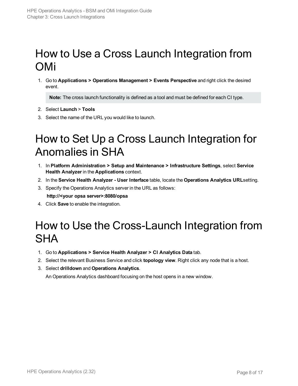### <span id="page-7-0"></span>How to Use a Cross Launch Integration from OMi

1. Go to **Applications > Operations Management > Events Perspective** and right click the desired event.

**Note:** The cross launch functionality is defined as a tool and must be defined for each CI type.

- 2. Select **Launch** > **Tools**
- <span id="page-7-1"></span>3. Select the name of the URL you would like to launch.

### How to Set Up a Cross Launch Integration for Anomalies in SHA

- 1. In **Platform Administration > Setup and Maintenance > Infrastructure Settings**, select **Service Health Analyzer** in the **Applications** context.
- 2. In the **Service Health Analyzer - User Interface** table, locate the **Operations Analytics URL**setting.
- 3. Specify the Operations Analytics server in the URL as follows: **http://<your opsa server>:8080/opsa**
- <span id="page-7-2"></span>4. Click **Save** to enable the integration.

### How to Use the Cross-Launch Integration from **SHA**

- 1. Go to **Applications > Service Health Analyzer > CI Analytics Data** tab.
- 2. Select the relevant Business Service and click **topology view**. Right click any node that is a host.
- 3. Select **drilldown** and **Operations Analytics**.

An Operations Analytics dashboard focusing on the host opens in a new window.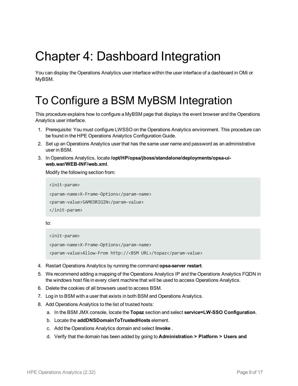## <span id="page-8-0"></span>Chapter 4: Dashboard Integration

You can display the Operations Analytics user interface within the user interface of a dashboard in OMi or MyBSM.

### To Configure a BSM MyBSM Integration

This procedure explains how to configure a MyBSM page that displays the event browser and the Operations Analytics user interface.

- 1. Prerequisite: You must configure LWSSO on the Operations Analytics environment. This procedure can be found in the HPE Operations Analytics Configuration Guide.
- 2. Set up an Operations Analytics user that has the same user name and password as an administrative user in BSM.
- 3. In Operations Analytics, locate **/opt/HP/opsa/jboss/standalone/deployments/opsa-uiweb.war/WEB-INF/web.xml**.

Modify the following section from:

```
<init-param>
<param-name>X-Frame-Options</param-name>
<param-value>SAMEORIGIN</param-value>
</init-param>
```
to:

```
<init-param>
<param-name>X-Frame-Options</param-name>
<param-value>Allow-From http://<BSM URL>/topaz</param-value>
```
- 4. Restart Operations Analytics by running the command **opsa-server restart**.
- 5. We recommend adding a mapping of the Operations Analytics IP and the Operations Analytics FQDN in the windows host file in every client machine that will be used to access Operations Analytics.
- 6. Delete the cookies of all browsers used to access BSM.
- 7. Log in to BSM with a user that exists in both BSM and Operations Analytics.
- 8. Add Operations Analytics to the list of trusted hosts:
	- a. In the BSM JMX console, locate the **Topaz** section and select **service=LW-SSO Configuration**.
	- b. Locate the **addDNSDomainToTrustedHosts** element.
	- c. Add the Operations Analytics domain and select **Invoke** .
	- d. Verify that the domain has been added by going to **Administration > Platform > Users and**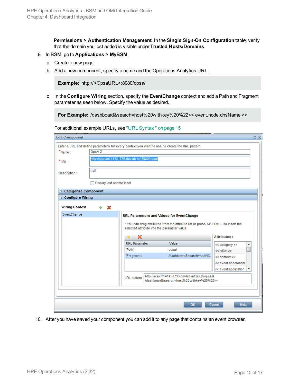**Permissions > Authentication Management**. In the **Single Sign-On Configuration** table, verify that the domain you just added is visible under **Trusted Hosts/Domains**.

- 9. In BSM, go to **Applications > MyBSM**.
	- a. Create a new page.
	- b. Add a new component, specify a name and the Operations Analytics URL.

**Example:** http://<OpsaURL>:8080/opsa/

c. In the **Configure Wiring** section, specify the **EventChange** context and add a Path and Fragment parameter as seen below. Specify the value as desired.

**For Example:** /dashboard&search=host%20withkey%20%22<< event.node.dnsName >>

| <b>Edit Component</b>      |      |                                            |                                                                                                |                                                                                         |                       | $\Box$ $\times$ |
|----------------------------|------|--------------------------------------------|------------------------------------------------------------------------------------------------|-----------------------------------------------------------------------------------------|-----------------------|-----------------|
|                            |      |                                            | Enter a URL and define parameters for every context you want to use, to create the URL pattern |                                                                                         |                       |                 |
| $*$ Name:                  |      | OpsA <sub>2</sub>                          |                                                                                                |                                                                                         |                       |                 |
| $*$ URL:                   |      | http://acevm141431736.devlab.ad:8080/opsa/ |                                                                                                |                                                                                         |                       |                 |
| Description:               | null |                                            |                                                                                                |                                                                                         |                       |                 |
|                            |      | Display last update label                  |                                                                                                |                                                                                         |                       |                 |
| ☆ Categorize Component     |      |                                            |                                                                                                |                                                                                         |                       |                 |
| $\hat{z}$ Configure Wiring |      |                                            |                                                                                                |                                                                                         |                       |                 |
| <b>Wiring Context</b>      | ♣    | x                                          |                                                                                                |                                                                                         |                       |                 |
| EventChange                |      |                                            |                                                                                                | <b>URL Parameters and Values for EventChange</b>                                        |                       |                 |
|                            |      |                                            | selected attribute into the parameter value.<br>x<br>*                                         | * You can drag attributes from the attribute list or press Alt + Ctrl + I to insert the | <b>Attributes:</b>    |                 |
|                            |      |                                            | <b>URL</b> Parameter                                                                           | Value                                                                                   | << category >><br>∸   |                 |
|                            |      |                                            | (Path)                                                                                         | opsa/                                                                                   | << ciRef>>            |                 |
|                            |      |                                            | (Fragment)                                                                                     | /dashboard&search=host%2                                                                | << context >>         |                 |
|                            |      |                                            |                                                                                                |                                                                                         | << event.annotation(  |                 |
|                            |      |                                            |                                                                                                |                                                                                         | << event.application  |                 |
|                            |      |                                            | URL pattern                                                                                    | http://acevm141431736.devlab.ad:8080/opsa/#<br>/dashboard&search=host%20withkey%20%22<< |                       |                 |
|                            |      |                                            |                                                                                                |                                                                                         |                       |                 |
|                            |      |                                            |                                                                                                |                                                                                         |                       |                 |
|                            |      |                                            |                                                                                                |                                                                                         |                       |                 |
|                            |      |                                            |                                                                                                | <b>OK</b>                                                                               | Cancel<br><b>Help</b> |                 |
|                            |      |                                            |                                                                                                |                                                                                         |                       |                 |

For additional example URLs, see ["URL Syntax](#page-14-0) " on page 15

10. After you have saved your component you can add it to any page that contains an event browser.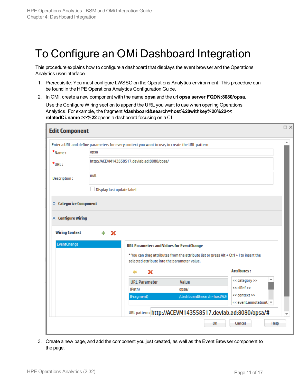### To Configure an OMi Dashboard Integration

This procedure explains how to configure a dashboard that displays the event browser and the Operations Analytics user interface.

- 1. Prerequisite: You must configure LWSSO on the Operations Analytics environment. This procedure can be found in the HPE Operations Analytics Configuration Guide.
- 2. In OMi, create a new component with the name **opsa** and the url **opsa server FQDN:8080/opsa**.

Use the Configure Wiring section to append the URL you want to use when opening Operations Analytics. For example, the fragment **/dashboard&search=host%20withkey%20%22<< relatedCi.name >>%22** opens a dashboard focusing on a CI.

| <b>Edit Component</b>            |                           |                                                                                                |                                                                                         |                                               |
|----------------------------------|---------------------------|------------------------------------------------------------------------------------------------|-----------------------------------------------------------------------------------------|-----------------------------------------------|
|                                  |                           | Enter a URL and define parameters for every context you want to use, to create the URL pattern |                                                                                         |                                               |
| $*$ Name:                        | opsa                      |                                                                                                |                                                                                         |                                               |
| $*_{URL}$                        |                           | http://ACEVM143558517.devlab.ad:8080/opsa/                                                     |                                                                                         |                                               |
| Description:                     | null                      |                                                                                                |                                                                                         |                                               |
|                                  | Display last update label |                                                                                                |                                                                                         |                                               |
| $\times$ Categorize Component    |                           |                                                                                                |                                                                                         |                                               |
|                                  |                           |                                                                                                |                                                                                         |                                               |
| $\hat{\lambda}$ Configure Wiring |                           |                                                                                                |                                                                                         |                                               |
| <b>Wiring Context</b>            | ÷ <b>×</b>                |                                                                                                |                                                                                         |                                               |
| <b>EventChange</b>               |                           | <b>URL Parameters and Values for EventChange</b>                                               |                                                                                         |                                               |
|                                  |                           | selected attribute into the parameter value.                                                   | * You can drag attributes from the attribute list or press Alt + Ctrl + I to insert the |                                               |
|                                  |                           | x<br>∗                                                                                         |                                                                                         | <b>Attributes:</b>                            |
|                                  |                           | <b>URL Parameter</b>                                                                           | Value                                                                                   | << category >>                                |
|                                  |                           | (Path)                                                                                         | opsa/                                                                                   | $<<$ ciRef $>>$                               |
|                                  |                           | (Fragment)                                                                                     | /dashboard&search=host%2l                                                               | << context >>                                 |
|                                  |                           |                                                                                                |                                                                                         | $\leq$ event.annotation( $\blacktriangledown$ |
|                                  |                           |                                                                                                | URL pattern: http://ACEVM143558517.devlab.ad:8080/opsa/#                                |                                               |
|                                  |                           |                                                                                                | OK                                                                                      | Cancel<br><b>Help</b>                         |
|                                  |                           |                                                                                                |                                                                                         |                                               |

3. Create a new page, and add the component you just created, as well as the Event Browser component to the page.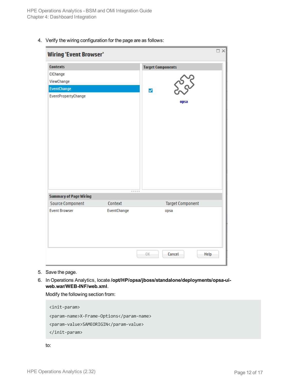4. Verify the wiring configuration for the page are as follows:

| <b>Wiring 'Event Browser'</b> |                                                                                                                                      |                          |                         | $\Box$ $\times$ |
|-------------------------------|--------------------------------------------------------------------------------------------------------------------------------------|--------------------------|-------------------------|-----------------|
| <b>Contexts</b>               |                                                                                                                                      | <b>Target Components</b> |                         |                 |
| CIChange                      |                                                                                                                                      |                          |                         |                 |
| ViewChange                    |                                                                                                                                      |                          | $v_c$                   |                 |
| <b>EventChange</b>            |                                                                                                                                      | ☑                        |                         |                 |
| <b>EventPropertyChange</b>    |                                                                                                                                      |                          | opsa                    |                 |
|                               | $\mathcal{L}^{\mathcal{L}}\left( \mathcal{L}^{\mathcal{L}}\right) =\mathcal{L}^{\mathcal{L}}\left( \mathcal{L}^{\mathcal{L}}\right)$ |                          |                         |                 |
| <b>Summary of Page Wiring</b> |                                                                                                                                      |                          |                         |                 |
| <b>Source Component</b>       | Context                                                                                                                              |                          | <b>Target Component</b> |                 |
| <b>Event Browser</b>          | EventChange                                                                                                                          |                          | opsa                    |                 |
|                               |                                                                                                                                      | OK                       | Cancel                  | <b>Help</b>     |

- 5. Save the page.
- 6. In Operations Analytics, locate **/opt/HP/opsa/jboss/standalone/deployments/opsa-uiweb.war/WEB-INF/web.xml**.

Modify the following section from:

<init-param> <param-name>X-Frame-Options</param-name> <param-value>SAMEORIGIN</param-value> </init-param>

to: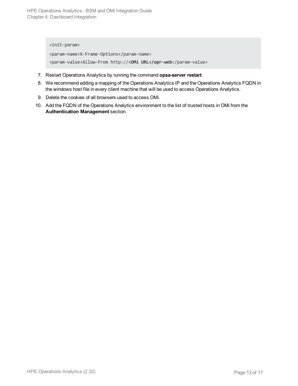<init-param> <param-name>X-Frame-Options</param-name> <param-value>Allow-From http://**<OMi URL>/opr-web**</param-value>

- 7. Restart Operations Analytics by running the command **opsa-server restart**.
- 8. We recommend adding a mapping of the Operations Analytics IP and the Operations Analytics FQDN in the windows host file in every client machine that will be used to access Operations Analytics.
- 9. Delete the cookies of all browsers used to access OMi.
- 10. Add the FQDN of the Operations Analytics environment to the list of trusted hosts in OMi from the **Authentication Management** section.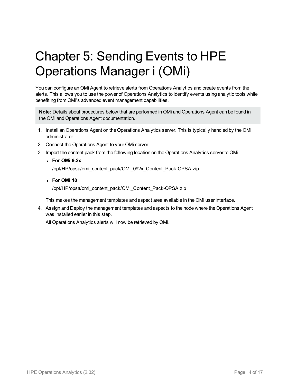## <span id="page-13-0"></span>Chapter 5: Sending Events to HPE Operations Manager i (OMi)

You can configure an OMi Agent to retrieve alerts from Operations Analytics and create events from the alerts. This allows you to use the power of Operations Analytics to identify events using analytic tools while benefiting from OMi's advanced event management capabilities.

**Note:** Details about procedures below that are performed in OMi and Operations Agent can be found in the OMi and Operations Agent documentation.

- 1. Install an Operations Agent on the Operations Analytics server. This is typically handled by the OMi administrator.
- 2. Connect the Operations Agent to your OMi server.
- 3. Import the content pack from the following location on the Operations Analytics server to OMi:
	- <sup>l</sup> **For OMi 9.2x** /opt/HP/opsa/omi\_content\_pack/OMi\_092x\_Content\_Pack-OPSA.zip
	- <sup>l</sup> **For OMi 10**

/opt/HP/opsa/omi\_content\_pack/OMi\_Content\_Pack-OPSA.zip

This makes the management templates and aspect area available in the OMi user interface.

4. Assign and Deploy the management templates and aspects to the node where the Operations Agent was installed earlier in this step.

All Operations Analytics alerts will now be retrieved by OMi.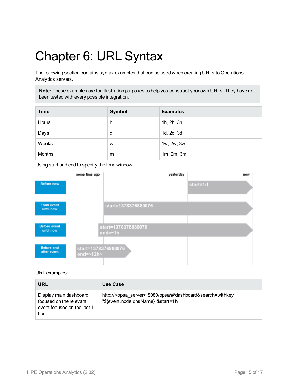## <span id="page-14-0"></span>Chapter 6: URL Syntax

The following section contains syntax examples that can be used when creating URLs to Operations Analytics servers.

**Note:** These examples are for illustration purposes to help you construct your own URLs. They have not been tested with every possible integration.

| <b>Time</b> | <b>Symbol</b> | <b>Examples</b>    |
|-------------|---------------|--------------------|
| Hours       | h             | 1h, 2h, 3h         |
| Days        | d             | 1d, 2d, 3d         |
| Weeks       | W             | 1w, 2w, 3w         |
| Months      | m             | $1m$ , $2m$ , $3m$ |

Using start and end to specify the time window



URL examples:

| URL                                                                                       | Use Case                                                                                                               |
|-------------------------------------------------------------------------------------------|------------------------------------------------------------------------------------------------------------------------|
| Display main dashboard<br>focused on the relevant<br>event focused on the last 1<br>hour. | http:// <opsa_server>:8080/opsa/#/dashboard&amp;search=withkey<br/>"\${event.node.dnsName}"&amp;start=1h</opsa_server> |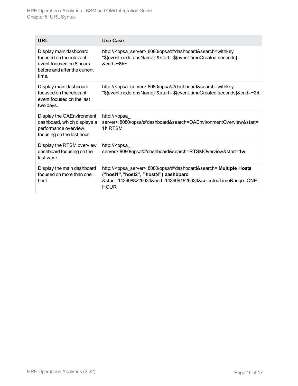| URL                                                                                                                    | Use Case                                                                                                                                                                                                                   |
|------------------------------------------------------------------------------------------------------------------------|----------------------------------------------------------------------------------------------------------------------------------------------------------------------------------------------------------------------------|
| Display main dashboard<br>focused on the relevant<br>event focused on 8 hours<br>before and after the current<br>time. | http:// <opsa_server>:8080/opsa/#/dashboard&amp;search=withkey<br/>"\${event.node.dnsName}"&amp;start= \${event.timeCreated.seconds}<br/><math>&amp;end = -8h -</math></opsa_server>                                       |
| Display main dashboard<br>focused on the relevant<br>event focused on the last<br>two days.                            | http:// <opsa_server>:8080/opsa/#/dashboard&amp;search=withkey<br/>"\${event.node.dnsName}"&amp;start= \${event.timeCreated.seconds}&amp;end=~2d</opsa_server>                                                             |
| Display the OAEnvironment<br>dashboard, which displays a<br>performance overview,<br>focusing on the last hour.        | http:// <opsa_<br>server&gt;:8080/opsa/#/dashboard&amp;search=OAEnvironmentOverview&amp;start=<br/>1h RTSM</opsa_<br>                                                                                                      |
| Display the RTSM overview<br>dashboard focusing on the<br>last week.                                                   | http:// <opsa<br>server&gt;:8080/opsa/#/dashboard&amp;search=RTSMOverview&amp;start=1w</opsa<br>                                                                                                                           |
| Display the main dashboard<br>focused on more than one<br>host.                                                        | http:// <opsa_server>:8080/opsa/#/dashboard&amp;search= Multiple Hosts<br/>("host1","host2", "hostN") dashboard<br/>&amp;start=1436088226634&amp;end=1436091826634&amp;selectedTimeRange=ONE<br/><b>HOUR</b></opsa_server> |